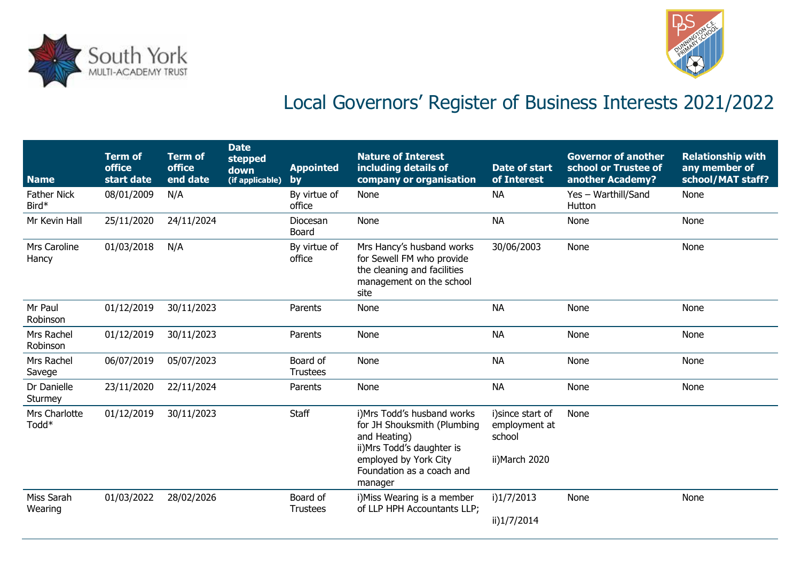



## Local Governors' Register of Business Interests 2021/2022

| <b>Name</b>                        | <b>Term of</b><br><b>office</b><br>start date | <b>Term of</b><br><b>office</b><br>end date | <b>Date</b><br>stepped<br>down<br>(if applicable) | <b>Appointed</b><br>by      | <b>Nature of Interest</b><br>including details of<br>company or organisation                                                                                              | <b>Date of start</b><br>of Interest                            | <b>Governor of another</b><br>school or Trustee of<br>another Academy? | <b>Relationship with</b><br>any member of<br>school/MAT staff? |
|------------------------------------|-----------------------------------------------|---------------------------------------------|---------------------------------------------------|-----------------------------|---------------------------------------------------------------------------------------------------------------------------------------------------------------------------|----------------------------------------------------------------|------------------------------------------------------------------------|----------------------------------------------------------------|
| <b>Father Nick</b><br>Bird*        | 08/01/2009                                    | N/A                                         |                                                   | By virtue of<br>office      | <b>None</b>                                                                                                                                                               | <b>NA</b>                                                      | Yes - Warthill/Sand<br>Hutton                                          | None                                                           |
| Mr Kevin Hall                      | 25/11/2020                                    | 24/11/2024                                  |                                                   | Diocesan<br>Board           | None                                                                                                                                                                      | <b>NA</b>                                                      | <b>None</b>                                                            | None                                                           |
| Mrs Caroline<br>Hancy              | 01/03/2018                                    | N/A                                         |                                                   | By virtue of<br>office      | Mrs Hancy's husband works<br>for Sewell FM who provide<br>the cleaning and facilities<br>management on the school<br>site                                                 | 30/06/2003                                                     | None                                                                   | None                                                           |
| Mr Paul<br>Robinson                | 01/12/2019                                    | 30/11/2023                                  |                                                   | Parents                     | None                                                                                                                                                                      | <b>NA</b>                                                      | None                                                                   | None                                                           |
| Mrs Rachel<br>Robinson             | 01/12/2019                                    | 30/11/2023                                  |                                                   | Parents                     | None                                                                                                                                                                      | <b>NA</b>                                                      | None                                                                   | None                                                           |
| Mrs Rachel<br>Savege               | 06/07/2019                                    | 05/07/2023                                  |                                                   | Board of<br><b>Trustees</b> | None                                                                                                                                                                      | <b>NA</b>                                                      | None                                                                   | None                                                           |
| Dr Danielle<br>Sturmey             | 23/11/2020                                    | 22/11/2024                                  |                                                   | Parents                     | None                                                                                                                                                                      | <b>NA</b>                                                      | None                                                                   | None                                                           |
| Mrs Charlotte<br>Todd <sup>*</sup> | 01/12/2019                                    | 30/11/2023                                  |                                                   | Staff                       | i) Mrs Todd's husband works<br>for JH Shouksmith (Plumbing<br>and Heating)<br>ii) Mrs Todd's daughter is<br>employed by York City<br>Foundation as a coach and<br>manager | i) since start of<br>employment at<br>school<br>ii) March 2020 | None                                                                   |                                                                |
| Miss Sarah<br>Wearing              | 01/03/2022                                    | 28/02/2026                                  |                                                   | Board of<br><b>Trustees</b> | i) Miss Wearing is a member<br>of LLP HPH Accountants LLP;                                                                                                                | i)1/7/2013<br>ii)1/7/2014                                      | None                                                                   | None                                                           |